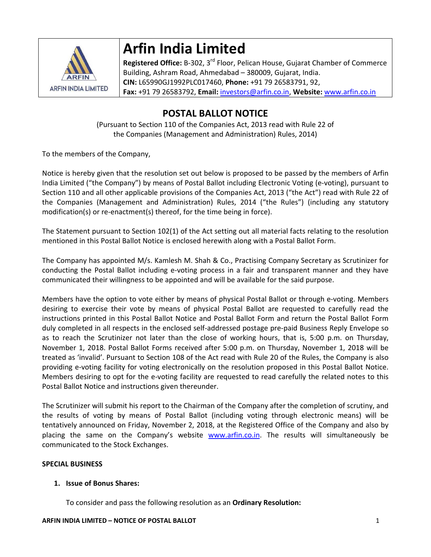

# **Arfin India Limited**

**Registered Office:** B‐302, 3rd Floor, Pelican House, Gujarat Chamber of Commerce Building, Ashram Road, Ahmedabad – 380009, Gujarat, India. **CIN:** L65990GJ1992PLC017460, **Phone:** +91 79 26583791, 92, **Fax:** +91 79 26583792, **Email:** investors@arfin.co.in, **Website:** www.arfin.co.in

## **POSTAL BALLOT NOTICE**

(Pursuant to Section 110 of the Companies Act, 2013 read with Rule 22 of the Companies (Management and Administration) Rules, 2014)

To the members of the Company,

Notice is hereby given that the resolution set out below is proposed to be passed by the members of Arfin India Limited ("the Company") by means of Postal Ballot including Electronic Voting (e‐voting), pursuant to Section 110 and all other applicable provisions of the Companies Act, 2013 ("the Act") read with Rule 22 of the Companies (Management and Administration) Rules, 2014 ("the Rules") (including any statutory modification(s) or re-enactment(s) thereof, for the time being in force).

The Statement pursuant to Section 102(1) of the Act setting out all material facts relating to the resolution mentioned in this Postal Ballot Notice is enclosed herewith along with a Postal Ballot Form.

The Company has appointed M/s. Kamlesh M. Shah & Co., Practising Company Secretary as Scrutinizer for conducting the Postal Ballot including e‐voting process in a fair and transparent manner and they have communicated their willingness to be appointed and will be available for the said purpose.

Members have the option to vote either by means of physical Postal Ballot or through e‐voting. Members desiring to exercise their vote by means of physical Postal Ballot are requested to carefully read the instructions printed in this Postal Ballot Notice and Postal Ballot Form and return the Postal Ballot Form duly completed in all respects in the enclosed self‐addressed postage pre‐paid Business Reply Envelope so as to reach the Scrutinizer not later than the close of working hours, that is, 5:00 p.m. on Thursday, November 1, 2018. Postal Ballot Forms received after 5:00 p.m. on Thursday, November 1, 2018 will be treated as 'invalid'. Pursuant to Section 108 of the Act read with Rule 20 of the Rules, the Company is also providing e-voting facility for voting electronically on the resolution proposed in this Postal Ballot Notice. Members desiring to opt for the e-voting facility are requested to read carefully the related notes to this Postal Ballot Notice and instructions given thereunder.

The Scrutinizer will submit his report to the Chairman of the Company after the completion of scrutiny, and the results of voting by means of Postal Ballot (including voting through electronic means) will be tentatively announced on Friday, November 2, 2018, at the Registered Office of the Company and also by placing the same on the Company's website www.arfin.co.in. The results will simultaneously be communicated to the Stock Exchanges.

### **SPECIAL BUSINESS**

### **1. Issue of Bonus Shares:**

To consider and pass the following resolution as an **Ordinary Resolution:**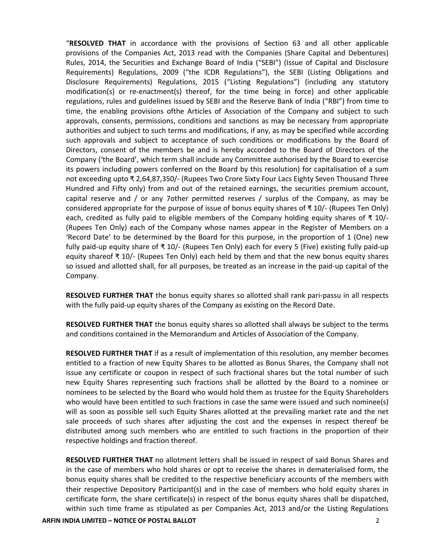"**RESOLVED THAT** in accordance with the provisions of Section 63 and all other applicable provisions of the Companies Act, 2013 read with the Companies (Share Capital and Debentures) Rules, 2014, the Securities and Exchange Board of India ("SEBI") (Issue of Capital and Disclosure Requirements) Regulations, 2009 ("the ICDR Regulations"), the SEBI (Listing Obligations and Disclosure Requirements) Regulations, 2015 ("Listing Regulations") (including any statutory modification(s) or re‐enactment(s) thereof, for the time being in force) and other applicable regulations, rules and guidelines issued by SEBI and the Reserve Bank of India ("RBI") from time to time, the enabling provisions ofthe Articles of Association of the Company and subject to such approvals, consents, permissions, conditions and sanctions as may be necessary from appropriate authorities and subject to such terms and modifications, if any, as may be specified while according such approvals and subject to acceptance of such conditions or modifications by the Board of Directors, consent of the members be and is hereby accorded to the Board of Directors of the Company ('the Board', which term shall include any Committee authorised by the Board to exercise its powers including powers conferred on the Board by this resolution) for capitalisation of a sum not exceeding upto ₹ 2,64,87,350/‐ (Rupees Two Crore Sixty Four Lacs Eighty Seven Thousand Three Hundred and Fifty only) from and out of the retained earnings, the securities premium account, capital reserve and / or any 7other permitted reserves / surplus of the Company, as may be considered appropriate for the purpose of issue of bonus equity shares of ₹ 10/‐ (Rupees Ten Only) each, credited as fully paid to eligible members of the Company holding equity shares of  $\bar{\tau}$  10/ $\bar{\tau}$ (Rupees Ten Only) each of the Company whose names appear in the Register of Members on a 'Record Date' to be determined by the Board for this purpose, in the proportion of 1 (One) new fully paid‐up equity share of ₹ 10/‐ (Rupees Ten Only) each for every 5 (Five) existing fully paid‐up equity shareof ₹ 10/‐ (Rupees Ten Only) each held by them and that the new bonus equity shares so issued and allotted shall, for all purposes, be treated as an increase in the paid‐up capital of the Company.

**RESOLVED FURTHER THAT** the bonus equity shares so allotted shall rank pari‐passu in all respects with the fully paid-up equity shares of the Company as existing on the Record Date.

**RESOLVED FURTHER THAT** the bonus equity shares so allotted shall always be subject to the terms and conditions contained in the Memorandum and Articles of Association of the Company.

**RESOLVED FURTHER THAT** if as a result of implementation of this resolution, any member becomes entitled to a fraction of new Equity Shares to be allotted as Bonus Shares, the Company shall not issue any certificate or coupon in respect of such fractional shares but the total number of such new Equity Shares representing such fractions shall be allotted by the Board to a nominee or nominees to be selected by the Board who would hold them as trustee for the Equity Shareholders who would have been entitled to such fractions in case the same were issued and such nominee(s) will as soon as possible sell such Equity Shares allotted at the prevailing market rate and the net sale proceeds of such shares after adjusting the cost and the expenses in respect thereof be distributed among such members who are entitled to such fractions in the proportion of their respective holdings and fraction thereof.

**RESOLVED FURTHER THAT** no allotment letters shall be issued in respect of said Bonus Shares and in the case of members who hold shares or opt to receive the shares in dematerialised form, the bonus equity shares shall be credited to the respective beneficiary accounts of the members with their respective Depository Participant(s) and in the case of members who hold equity shares in certificate form, the share certificate(s) in respect of the bonus equity shares shall be dispatched, within such time frame as stipulated as per Companies Act, 2013 and/or the Listing Regulations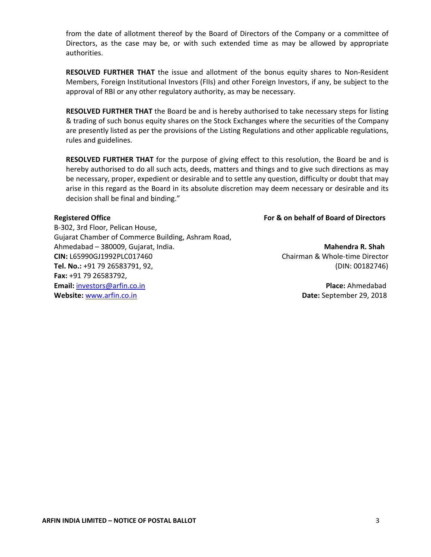from the date of allotment thereof by the Board of Directors of the Company or a committee of Directors, as the case may be, or with such extended time as may be allowed by appropriate authorities.

**RESOLVED FURTHER THAT** the issue and allotment of the bonus equity shares to Non‐Resident Members, Foreign Institutional Investors (FIIs) and other Foreign Investors, if any, be subject to the approval of RBI or any other regulatory authority, as may be necessary.

**RESOLVED FURTHER THAT** the Board be and is hereby authorised to take necessary steps for listing & trading of such bonus equity shares on the Stock Exchanges where the securities of the Company are presently listed as per the provisions of the Listing Regulations and other applicable regulations, rules and guidelines.

**RESOLVED FURTHER THAT** for the purpose of giving effect to this resolution, the Board be and is hereby authorised to do all such acts, deeds, matters and things and to give such directions as may be necessary, proper, expedient or desirable and to settle any question, difficulty or doubt that may arise in this regard as the Board in its absolute discretion may deem necessary or desirable and its decision shall be final and binding."

B‐302, 3rd Floor, Pelican House, Gujarat Chamber of Commerce Building, Ashram Road, Ahmedabad – 380009, Gujarat, India. **Mahendra R. Shah CIN:** L65990GJ1992PLC017460 Chairman & Whole‐time Director **Tel. No.:** +91 79 26583791, 92, (DIN: 00182746) **Fax:** +91 79 26583792, **Email:** investors@arfin.co.in **Place:** Ahmedabad **Website:** www.arfin.co.in  **Date:** September 29, 2018

**Registered Office For & on behalf of Board of Directors**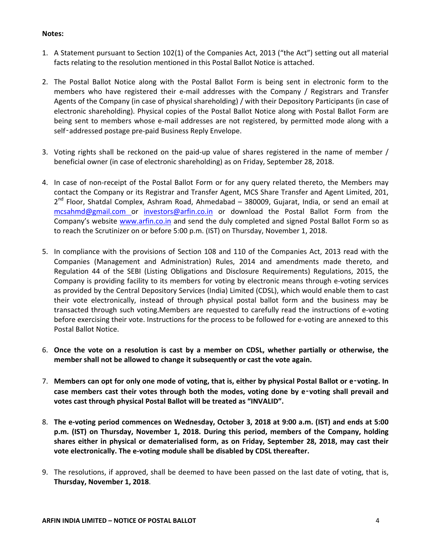#### **Notes:**

- 1. A Statement pursuant to Section 102(1) of the Companies Act, 2013 ("the Act") setting out all material facts relating to the resolution mentioned in this Postal Ballot Notice is attached.
- 2. The Postal Ballot Notice along with the Postal Ballot Form is being sent in electronic form to the members who have registered their e-mail addresses with the Company / Registrars and Transfer Agents of the Company (in case of physical shareholding) / with their Depository Participants (in case of electronic shareholding). Physical copies of the Postal Ballot Notice along with Postal Ballot Form are being sent to members whose e-mail addresses are not registered, by permitted mode along with a self-addressed postage pre-paid Business Reply Envelope.
- 3. Voting rights shall be reckoned on the paid‐up value of shares registered in the name of member / beneficial owner (in case of electronic shareholding) as on Friday, September 28, 2018.
- 4. In case of non-receipt of the Postal Ballot Form or for any query related thereto, the Members may contact the Company or its Registrar and Transfer Agent, MCS Share Transfer and Agent Limited, 201, 2<sup>nd</sup> Floor, Shatdal Complex, Ashram Road, Ahmedabad – 380009, Gujarat, India, or send an email at mcsahmd@gmail.com or investors@arfin.co.in or download the Postal Ballot Form from the Company's website www.arfin.co.in and send the duly completed and signed Postal Ballot Form so as to reach the Scrutinizer on or before 5:00 p.m. (IST) on Thursday, November 1, 2018.
- 5. In compliance with the provisions of Section 108 and 110 of the Companies Act, 2013 read with the Companies (Management and Administration) Rules, 2014 and amendments made thereto, and Regulation 44 of the SEBI (Listing Obligations and Disclosure Requirements) Regulations, 2015, the Company is providing facility to its members for voting by electronic means through e‐voting services as provided by the Central Depository Services (India) Limited (CDSL), which would enable them to cast their vote electronically, instead of through physical postal ballot form and the business may be transacted through such voting.Members are requested to carefully read the instructions of e‐voting before exercising their vote. Instructions for the process to be followed for e‐voting are annexed to this Postal Ballot Notice.
- 6. **Once the vote on a resolution is cast by a member on CDSL, whether partially or otherwise, the member shall not be allowed to change it subsequently or cast the vote again.**
- 7. Members can opt for only one mode of voting, that is, either by physical Postal Ballot or e-voting. In **case members cast their votes through both the modes, voting done by e**‑**voting shall prevail and votes cast through physical Postal Ballot will be treated as "INVALID".**
- 8. The e-voting period commences on Wednesday, October 3, 2018 at 9:00 a.m. (IST) and ends at 5:00 **p.m. (IST) on Thursday, November 1, 2018. During this period, members of the Company, holding shares either in physical or dematerialised form, as on Friday, September 28, 2018, may cast their vote electronically. The e‐voting module shall be disabled by CDSL thereafter.**
- 9. The resolutions, if approved, shall be deemed to have been passed on the last date of voting, that is, **Thursday, November 1, 2018**.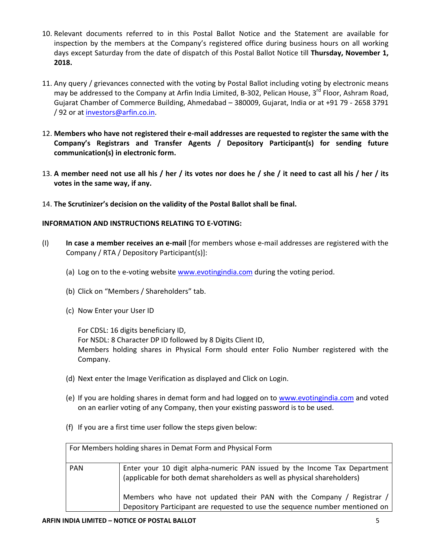- 10. Relevant documents referred to in this Postal Ballot Notice and the Statement are available for inspection by the members at the Company's registered office during business hours on all working days except Saturday from the date of dispatch of this Postal Ballot Notice till **Thursday, November 1, 2018.**
- 11. Any query / grievances connected with the voting by Postal Ballot including voting by electronic means may be addressed to the Company at Arfin India Limited, B-302, Pelican House, 3<sup>rd</sup> Floor. Ashram Road. Gujarat Chamber of Commerce Building, Ahmedabad – 380009, Gujarat, India or at +91 79 ‐ 2658 3791 / 92 or at investors@arfin.co.in.
- 12. Members who have not registered their e-mail addresses are requested to register the same with the **Company's Registrars and Transfer Agents / Depository Participant(s) for sending future communication(s) in electronic form.**
- 13. A member need not use all his / her / its votes nor does he / she / it need to cast all his / her / its **votes in the same way, if any.**
- 14. **The Scrutinizer's decision on the validity of the Postal Ballot shall be final.**

#### **INFORMATION AND INSTRUCTIONS RELATING TO E‐VOTING:**

- (I) **In case a member receives an e‐mail** [for members whose e‐mail addresses are registered with the Company / RTA / Depository Participant(s)]:
	- (a) Log on to the e‐voting website www.evotingindia.com during the voting period.
	- (b) Click on "Members / Shareholders" tab.
	- (c) Now Enter your User ID

For CDSL: 16 digits beneficiary ID, For NSDL: 8 Character DP ID followed by 8 Digits Client ID, Members holding shares in Physical Form should enter Folio Number registered with the Company.

- (d) Next enter the Image Verification as displayed and Click on Login.
- (e) If you are holding shares in demat form and had logged on to www.evotingindia.com and voted on an earlier voting of any Company, then your existing password is to be used.
- (f) If you are a first time user follow the steps given below:

| For Members holding shares in Demat Form and Physical Form |                                                                                                                                                        |  |  |  |  |  |
|------------------------------------------------------------|--------------------------------------------------------------------------------------------------------------------------------------------------------|--|--|--|--|--|
| <b>PAN</b>                                                 | Enter your 10 digit alpha-numeric PAN issued by the Income Tax Department<br>(applicable for both demat shareholders as well as physical shareholders) |  |  |  |  |  |
|                                                            | Members who have not updated their PAN with the Company / Registrar /<br>Depository Participant are requested to use the sequence number mentioned on  |  |  |  |  |  |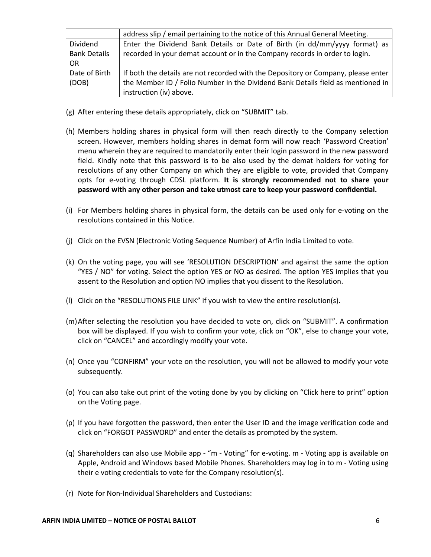|                     | address slip / email pertaining to the notice of this Annual General Meeting.     |
|---------------------|-----------------------------------------------------------------------------------|
| Dividend            | Enter the Dividend Bank Details or Date of Birth (in dd/mm/yyyy format) as        |
| <b>Bank Details</b> | recorded in your demat account or in the Company records in order to login.       |
| OR.                 |                                                                                   |
| Date of Birth       | If both the details are not recorded with the Depository or Company, please enter |
| (DOB)               | the Member ID / Folio Number in the Dividend Bank Details field as mentioned in   |
|                     | instruction (iv) above.                                                           |

- (g) After entering these details appropriately, click on "SUBMIT" tab.
- (h) Members holding shares in physical form will then reach directly to the Company selection screen. However, members holding shares in demat form will now reach 'Password Creation' menu wherein they are required to mandatorily enter their login password in the new password field. Kindly note that this password is to be also used by the demat holders for voting for resolutions of any other Company on which they are eligible to vote, provided that Company opts for e‐voting through CDSL platform. **It is strongly recommended not to share your password with any other person and take utmost care to keep your password confidential.**
- (i) For Members holding shares in physical form, the details can be used only for e‐voting on the resolutions contained in this Notice.
- (j) Click on the EVSN (Electronic Voting Sequence Number) of Arfin India Limited to vote.
- (k) On the voting page, you will see 'RESOLUTION DESCRIPTION' and against the same the option "YES / NO" for voting. Select the option YES or NO as desired. The option YES implies that you assent to the Resolution and option NO implies that you dissent to the Resolution.
- (l) Click on the "RESOLUTIONS FILE LINK" if you wish to view the entire resolution(s).
- (m)After selecting the resolution you have decided to vote on, click on "SUBMIT". A confirmation box will be displayed. If you wish to confirm your vote, click on "OK", else to change your vote, click on "CANCEL" and accordingly modify your vote.
- (n) Once you "CONFIRM" your vote on the resolution, you will not be allowed to modify your vote subsequently.
- (o) You can also take out print of the voting done by you by clicking on "Click here to print" option on the Voting page.
- (p) If you have forgotten the password, then enter the User ID and the image verification code and click on "FORGOT PASSWORD" and enter the details as prompted by the system.
- (q) Shareholders can also use Mobile app ‐ "m ‐ Voting" for e‐voting. m ‐ Voting app is available on Apple, Android and Windows based Mobile Phones. Shareholders may log in to m ‐ Voting using their e voting credentials to vote for the Company resolution(s).
- (r) Note for Non‐Individual Shareholders and Custodians: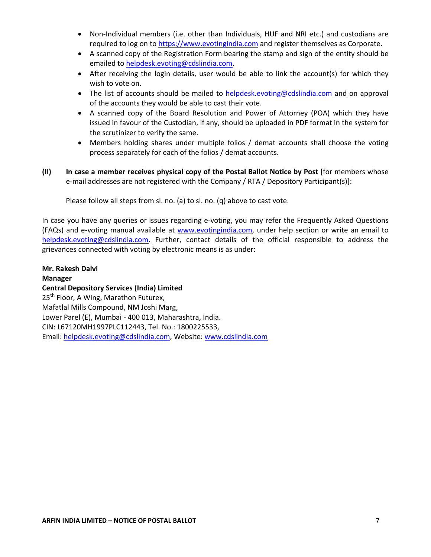- Non-Individual members (i.e. other than Individuals, HUF and NRI etc.) and custodians are required to log on to https://www.evotingindia.com and register themselves as Corporate.
- A scanned copy of the Registration Form bearing the stamp and sign of the entity should be emailed to helpdesk.evoting@cdslindia.com.
- After receiving the login details, user would be able to link the account(s) for which they wish to vote on.
- The list of accounts should be mailed to helpdesk.evoting@cdslindia.com and on approval of the accounts they would be able to cast their vote.
- A scanned copy of the Board Resolution and Power of Attorney (POA) which they have issued in favour of the Custodian, if any, should be uploaded in PDF format in the system for the scrutinizer to verify the same.
- Members holding shares under multiple folios / demat accounts shall choose the voting process separately for each of the folios / demat accounts.
- **(II) In case a member receives physical copy of the Postal Ballot Notice by Post** [for members whose e-mail addresses are not registered with the Company / RTA / Depository Participant(s)]:

Please follow all steps from sl. no. (a) to sl. no. (q) above to cast vote.

In case you have any queries or issues regarding e-voting, you may refer the Frequently Asked Questions (FAQs) and e‐voting manual available at www.evotingindia.com, under help section or write an email to helpdesk.evoting@cdslindia.com. Further, contact details of the official responsible to address the grievances connected with voting by electronic means is as under:

**Mr. Rakesh Dalvi Manager Central Depository Services (India) Limited** 25<sup>th</sup> Floor, A Wing, Marathon Futurex, Mafatlal Mills Compound, NM Joshi Marg, Lower Parel (E), Mumbai ‐ 400 013, Maharashtra, India. CIN: L67120MH1997PLC112443, Tel. No.: 1800225533, Email: helpdesk.evoting@cdslindia.com, Website: www.cdslindia.com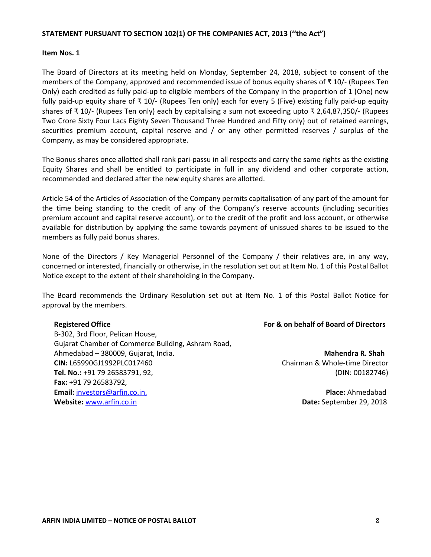#### **STATEMENT PURSUANT TO SECTION 102(1) OF THE COMPANIES ACT, 2013 (''the Act")**

#### **Item Nos. 1**

The Board of Directors at its meeting held on Monday, September 24, 2018, subject to consent of the members of the Company, approved and recommended issue of bonus equity shares of ₹ 10/‐ (Rupees Ten Only) each credited as fully paid‐up to eligible members of the Company in the proportion of 1 (One) new fully paid‐up equity share of ₹ 10/‐ (Rupees Ten only) each for every 5 (Five) existing fully paid‐up equity shares of ₹ 10/‐ (Rupees Ten only) each by capitalising a sum not exceeding upto ₹ 2,64,87,350/‐ (Rupees Two Crore Sixty Four Lacs Eighty Seven Thousand Three Hundred and Fifty only) out of retained earnings, securities premium account, capital reserve and / or any other permitted reserves / surplus of the Company, as may be considered appropriate.

The Bonus shares once allotted shall rank pari‐passu in all respects and carry the same rights as the existing Equity Shares and shall be entitled to participate in full in any dividend and other corporate action, recommended and declared after the new equity shares are allotted.

Article 54 of the Articles of Association of the Company permits capitalisation of any part of the amount for the time being standing to the credit of any of the Company's reserve accounts (including securities premium account and capital reserve account), or to the credit of the profit and loss account, or otherwise available for distribution by applying the same towards payment of unissued shares to be issued to the members as fully paid bonus shares.

None of the Directors / Key Managerial Personnel of the Company / their relatives are, in any way, concerned or interested, financially or otherwise, in the resolution set out at Item No. 1 of this Postal Ballot Notice except to the extent of their shareholding in the Company.

The Board recommends the Ordinary Resolution set out at Item No. 1 of this Postal Ballot Notice for approval by the members.

B‐302, 3rd Floor, Pelican House, Gujarat Chamber of Commerce Building, Ashram Road, Ahmedabad – 380009, Gujarat, India. **Mahendra R. Shah CIN:** L65990GJ1992PLC017460 Chairman & Whole‐time Director **Tel. No.:** +91 79 26583791, 92, (DIN: 00182746) **Fax:** +91 79 26583792, **Email:** investors@arfin.co.in, **Place:** Ahmedabad **Website:** www.arfin.co.in  **Date:** September 29, 2018

#### **Registered Office For & on behalf of Board of Directors**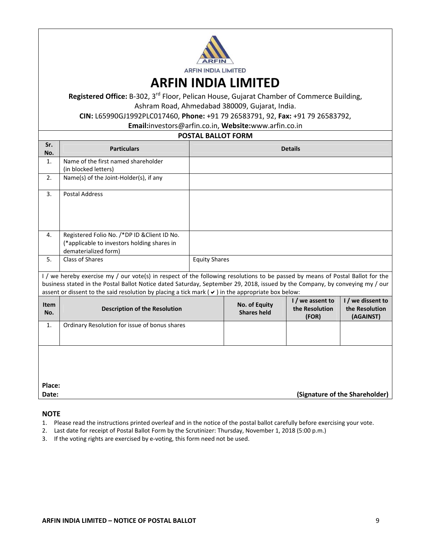

**ARFIN INDIA LIMITED**

**Registered Office:** B‐302, 3rd Floor, Pelican House, Gujarat Chamber of Commerce Building, Ashram Road, Ahmedabad 380009, Gujarat, India.

**CIN:** L65990GJ1992PLC017460, **Phone:** +91 79 26583791, 92, **Fax:** +91 79 26583792,

**Email:**investors@arfin.co.in, **Website:**www.arfin.co.in

#### **POSTAL BALLOT FORM**

| Sr.<br>No.                                                                                                                                                                                                                                                                                                                                                                 | <b>Particulars</b>                                                                                                  | <b>Details</b>       |                                     |                                             |                                                  |  |  |
|----------------------------------------------------------------------------------------------------------------------------------------------------------------------------------------------------------------------------------------------------------------------------------------------------------------------------------------------------------------------------|---------------------------------------------------------------------------------------------------------------------|----------------------|-------------------------------------|---------------------------------------------|--------------------------------------------------|--|--|
| 1.                                                                                                                                                                                                                                                                                                                                                                         | Name of the first named shareholder<br>(in blocked letters)                                                         |                      |                                     |                                             |                                                  |  |  |
| 2.                                                                                                                                                                                                                                                                                                                                                                         | Name(s) of the Joint-Holder(s), if any                                                                              |                      |                                     |                                             |                                                  |  |  |
| 3.                                                                                                                                                                                                                                                                                                                                                                         | <b>Postal Address</b>                                                                                               |                      |                                     |                                             |                                                  |  |  |
| 4.                                                                                                                                                                                                                                                                                                                                                                         | Registered Folio No. /*DP ID & Client ID No.<br>(*applicable to investors holding shares in<br>dematerialized form) |                      |                                     |                                             |                                                  |  |  |
| 5.                                                                                                                                                                                                                                                                                                                                                                         | <b>Class of Shares</b>                                                                                              | <b>Equity Shares</b> |                                     |                                             |                                                  |  |  |
| I / we hereby exercise my / our vote(s) in respect of the following resolutions to be passed by means of Postal Ballot for the<br>business stated in the Postal Ballot Notice dated Saturday, September 29, 2018, issued by the Company, by conveying my / our<br>assent or dissent to the said resolution by placing a tick mark ( $\vee$ ) in the appropriate box below: |                                                                                                                     |                      |                                     |                                             |                                                  |  |  |
| <b>Item</b><br>No.                                                                                                                                                                                                                                                                                                                                                         | <b>Description of the Resolution</b>                                                                                |                      | No. of Equity<br><b>Shares held</b> | I / we assent to<br>the Resolution<br>(FOR) | I / we dissent to<br>the Resolution<br>(AGAINST) |  |  |
| 1.                                                                                                                                                                                                                                                                                                                                                                         | Ordinary Resolution for issue of bonus shares                                                                       |                      |                                     |                                             |                                                  |  |  |
| Place:                                                                                                                                                                                                                                                                                                                                                                     |                                                                                                                     |                      |                                     |                                             |                                                  |  |  |
| Date:                                                                                                                                                                                                                                                                                                                                                                      | (Signature of the Shareholder)                                                                                      |                      |                                     |                                             |                                                  |  |  |

#### **NOTE**

- 1. Please read the instructions printed overleaf and in the notice of the postal ballot carefully before exercising your vote.
- 2. Last date for receipt of Postal Ballot Form by the Scrutinizer: Thursday, November 1, 2018 (5:00 p.m.)
- 3. If the voting rights are exercised by e-voting, this form need not be used.